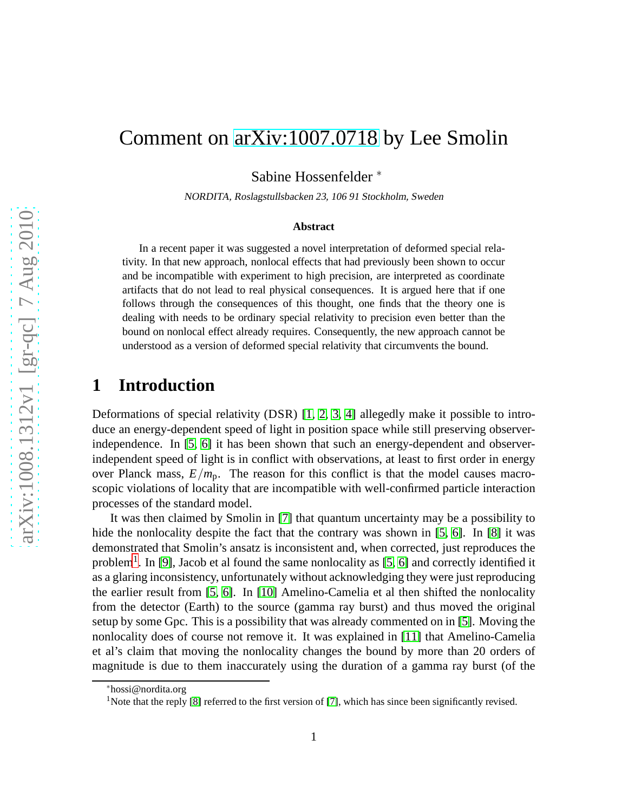# Comment on [arXiv:1007.0718](http://arxiv.org/abs/1007.0718) by Lee Smolin

Sabine Hossenfelder ∗

NORDITA, Roslagstullsbacken 23, <sup>106</sup> <sup>91</sup> Stockholm, Sweden

#### **Abstract**

In a recent paper it was suggested a novel interpretation of deformed special relativity. In that new approach, nonlocal effects that had previously been shown to occur and be incompatible with experiment to high precision, are interpreted as coordinate artifacts that do not lead to real physical consequences. It is argued here that if one follows through the consequences of this thought, one finds that the theory one is dealing with needs to be ordinary special relativity to precision even better than the bound on nonlocal effect already requires. Consequently, the new approach cannot be understood as a version of deformed special relativity that circumvents the bound.

## **1 Introduction**

Deformations of special relativity (DSR) [\[1,](#page-7-0) [2,](#page-7-1) [3,](#page-8-0) [4\]](#page-8-1) allegedly make it possible to introduce an energy-dependent speed of light in position space while still preserving observerindependence. In [\[5,](#page-8-2) [6\]](#page-8-3) it has been shown that such an energy-dependent and observerindependent speed of light is in conflict with observations, at least to first order in energy over Planck mass,  $E/m_p$ . The reason for this conflict is that the model causes macroscopic violations of locality that are incompatible with well-confirmed particle interaction processes of the standard model.

It was then claimed by Smolin in [\[7\]](#page-8-4) that quantum uncertainty may be a possibility to hide the nonlocality despite the fact that the contrary was shown in [\[5,](#page-8-2) [6\]](#page-8-3). In [\[8\]](#page-8-5) it was demonstrated that Smolin's ansatz is inconsistent and, when corrected, just reproduces the problem<sup>[1](#page-0-0)</sup>. In [\[9\]](#page-8-6), Jacob et al found the same nonlocality as [\[5,](#page-8-2) [6\]](#page-8-3) and correctly identified it as a glaring inconsistency, unfortunately without acknowledging they were just reproducing the earlier result from [\[5,](#page-8-2) [6\]](#page-8-3). In [\[10\]](#page-8-7) Amelino-Camelia et al then shifted the nonlocality from the detector (Earth) to the source (gamma ray burst) and thus moved the original setup by some Gpc. This is a possibility that was already commented on in [\[5\]](#page-8-2). Moving the nonlocality does of course not remove it. It was explained in [\[11\]](#page-8-8) that Amelino-Camelia et al's claim that moving the nonlocality changes the bound by more than 20 orders of magnitude is due to them inaccurately using the duration of a gamma ray burst (of the

<sup>∗</sup>hossi@nordita.org

<span id="page-0-0"></span><sup>&</sup>lt;sup>1</sup>Note that the reply [\[8\]](#page-8-5) referred to the first version of [\[7\]](#page-8-4), which has since been significantly revised.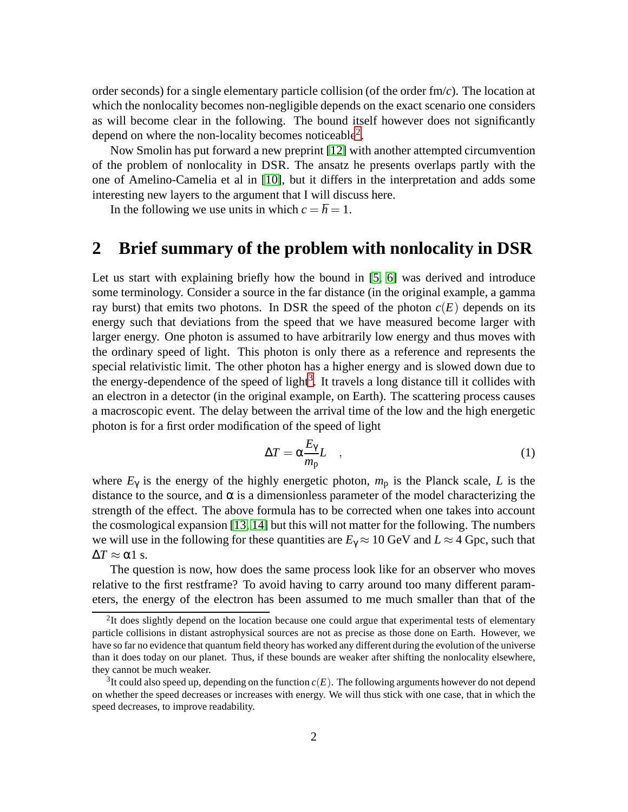order seconds) for a single elementary particle collision (of the order fm/*c*). The location at which the nonlocality becomes non-negligible depends on the exact scenario one considers as will become clear in the following. The bound itself however does not significantly depend on where the non-locality becomes noticeable<sup>[2](#page-1-0)</sup>.

Now Smolin has put forward a new preprint [\[12\]](#page-8-9) with another attempted circumvention of the problem of nonlocality in DSR. The ansatz he presents overlaps partly with the one of Amelino-Camelia et al in [\[10\]](#page-8-7), but it differs in the interpretation and adds some interesting new layers to the argument that I will discuss here.

In the following we use units in which  $c = \hbar = 1$ .

### **2 Brief summary of the problem with nonlocality in DSR**

Let us start with explaining briefly how the bound in [\[5,](#page-8-2) [6\]](#page-8-3) was derived and introduce some terminology. Consider a source in the far distance (in the original example, a gamma ray burst) that emits two photons. In DSR the speed of the photon  $c(E)$  depends on its energy such that deviations from the speed that we have measured become larger with larger energy. One photon is assumed to have arbitrarily low energy and thus moves with the ordinary speed of light. This photon is only there as a reference and represents the special relativistic limit. The other photon has a higher energy and is slowed down due to the energy-dependence of the speed of light<sup>[3](#page-1-1)</sup>. It travels a long distance till it collides with an electron in a detector (in the original example, on Earth). The scattering process causes a macroscopic event. The delay between the arrival time of the low and the high energetic photon is for a first order modification of the speed of light

$$
\Delta T = \alpha \frac{E_{\gamma}}{m_{\rm p}} L \quad , \tag{1}
$$

where  $E_{\gamma}$  is the energy of the highly energetic photon,  $m_{\rm p}$  is the Planck scale, *L* is the distance to the source, and  $\alpha$  is a dimensionless parameter of the model characterizing the strength of the effect. The above formula has to be corrected when one takes into account the cosmological expansion [\[13,](#page-8-10) [14\]](#page-8-11) but this will not matter for the following. The numbers we will use in the following for these quantities are  $E_\gamma \approx 10$  GeV and  $L \approx 4$  Gpc, such that  $\Delta T \approx \alpha$ 1 s.

The question is now, how does the same process look like for an observer who moves relative to the first restframe? To avoid having to carry around too many different parameters, the energy of the electron has been assumed to me much smaller than that of the

<span id="page-1-0"></span><sup>&</sup>lt;sup>2</sup>It does slightly depend on the location because one could argue that experimental tests of elementary particle collisions in distant astrophysical sources are not as precise as those done on Earth. However, we have so far no evidence that quantum field theory has worked any different during the evolution of the universe than it does today on our planet. Thus, if these bounds are weaker after shifting the nonlocality elsewhere, they cannot be much weaker.

<span id="page-1-1"></span><sup>3</sup> It could also speed up, depending on the function *c*(*E*). The following arguments however do not depend on whether the speed decreases or increases with energy. We will thus stick with one case, that in which the speed decreases, to improve readability.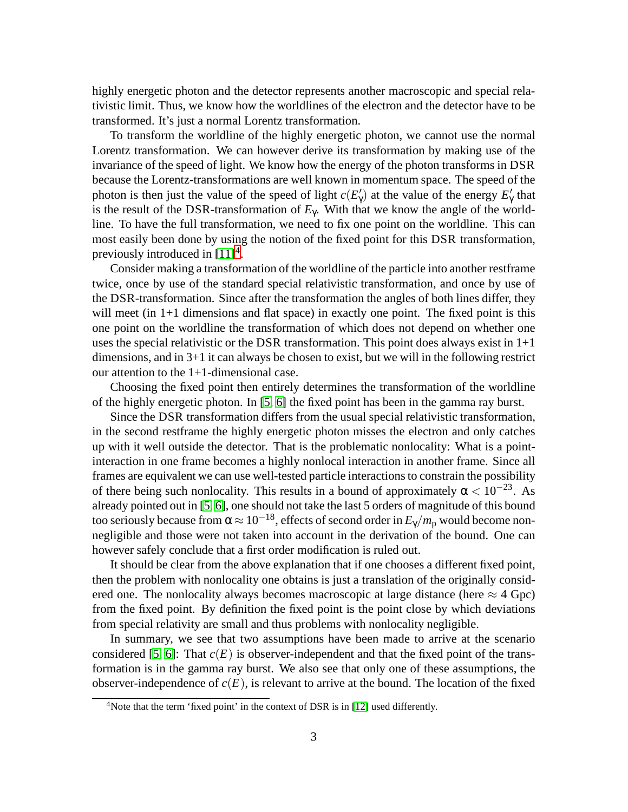highly energetic photon and the detector represents another macroscopic and special relativistic limit. Thus, we know how the worldlines of the electron and the detector have to be transformed. It's just a normal Lorentz transformation.

To transform the worldline of the highly energetic photon, we cannot use the normal Lorentz transformation. We can however derive its transformation by making use of the invariance of the speed of light. We know how the energy of the photon transforms in DSR because the Lorentz-transformations are well known in momentum space. The speed of the photon is then just the value of the speed of light  $c(E'_\gamma)$  at the value of the energy  $E'_\gamma$  that is the result of the DSR-transformation of  $E<sub>Y</sub>$ . With that we know the angle of the worldline. To have the full transformation, we need to fix one point on the worldline. This can most easily been done by using the notion of the fixed point for this DSR transformation, previously introduced in  $[11]^4$  $[11]^4$ .

Consider making a transformation of the worldline of the particle into another restframe twice, once by use of the standard special relativistic transformation, and once by use of the DSR-transformation. Since after the transformation the angles of both lines differ, they will meet (in 1+1 dimensions and flat space) in exactly one point. The fixed point is this one point on the worldline the transformation of which does not depend on whether one uses the special relativistic or the DSR transformation. This point does always exist in  $1+1$ dimensions, and in 3+1 it can always be chosen to exist, but we will in the following restrict our attention to the 1+1-dimensional case.

Choosing the fixed point then entirely determines the transformation of the worldline of the highly energetic photon. In [\[5,](#page-8-2) [6\]](#page-8-3) the fixed point has been in the gamma ray burst.

Since the DSR transformation differs from the usual special relativistic transformation, in the second restframe the highly energetic photon misses the electron and only catches up with it well outside the detector. That is the problematic nonlocality: What is a pointinteraction in one frame becomes a highly nonlocal interaction in another frame. Since all frames are equivalent we can use well-tested particle interactions to constrain the possibility of there being such nonlocality. This results in a bound of approximately  $\alpha < 10^{-23}$ . As already pointed out in [\[5,](#page-8-2) [6\]](#page-8-3), one should not take the last 5 orders of magnitude of this bound too seriously because from  $\alpha \approx 10^{-18}$ , effects of second order in  $E_\gamma/m_p$  would become nonnegligible and those were not taken into account in the derivation of the bound. One can however safely conclude that a first order modification is ruled out.

It should be clear from the above explanation that if one chooses a different fixed point, then the problem with nonlocality one obtains is just a translation of the originally considered one. The nonlocality always becomes macroscopic at large distance (here  $\approx$  4 Gpc) from the fixed point. By definition the fixed point is the point close by which deviations from special relativity are small and thus problems with nonlocality negligible.

In summary, we see that two assumptions have been made to arrive at the scenario considered [\[5,](#page-8-2) [6\]](#page-8-3): That  $c(E)$  is observer-independent and that the fixed point of the transformation is in the gamma ray burst. We also see that only one of these assumptions, the observer-independence of  $c(E)$ , is relevant to arrive at the bound. The location of the fixed

<span id="page-2-0"></span><sup>&</sup>lt;sup>4</sup>Note that the term 'fixed point' in the context of DSR is in [\[12\]](#page-8-9) used differently.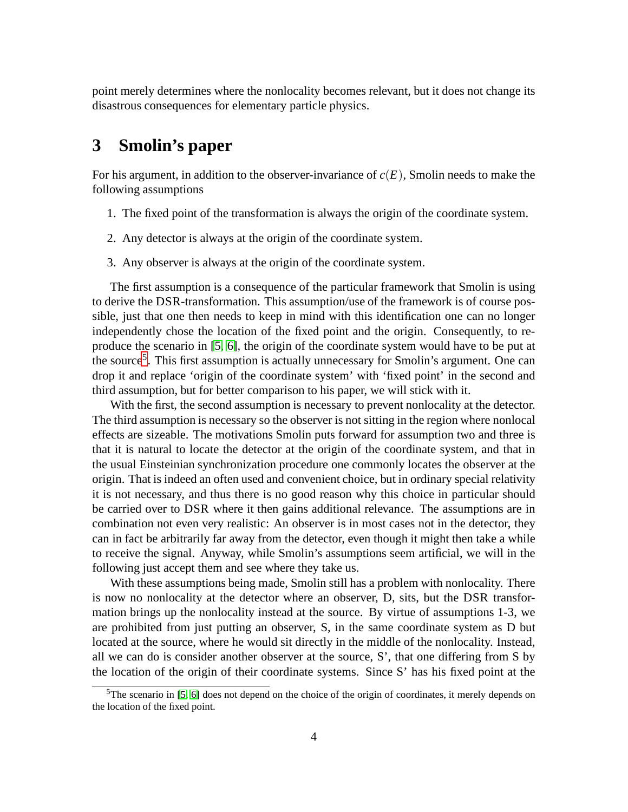point merely determines where the nonlocality becomes relevant, but it does not change its disastrous consequences for elementary particle physics.

## **3 Smolin's paper**

For his argument, in addition to the observer-invariance of *c*(*E*), Smolin needs to make the following assumptions

- 1. The fixed point of the transformation is always the origin of the coordinate system.
- 2. Any detector is always at the origin of the coordinate system.
- 3. Any observer is always at the origin of the coordinate system.

The first assumption is a consequence of the particular framework that Smolin is using to derive the DSR-transformation. This assumption/use of the framework is of course possible, just that one then needs to keep in mind with this identification one can no longer independently chose the location of the fixed point and the origin. Consequently, to reproduce the scenario in [\[5,](#page-8-2) [6\]](#page-8-3), the origin of the coordinate system would have to be put at the source<sup>[5](#page-3-0)</sup>. This first assumption is actually unnecessary for Smolin's argument. One can drop it and replace 'origin of the coordinate system' with 'fixed point' in the second and third assumption, but for better comparison to his paper, we will stick with it.

With the first, the second assumption is necessary to prevent nonlocality at the detector. The third assumption is necessary so the observer is not sitting in the region where nonlocal effects are sizeable. The motivations Smolin puts forward for assumption two and three is that it is natural to locate the detector at the origin of the coordinate system, and that in the usual Einsteinian synchronization procedure one commonly locates the observer at the origin. That is indeed an often used and convenient choice, but in ordinary special relativity it is not necessary, and thus there is no good reason why this choice in particular should be carried over to DSR where it then gains additional relevance. The assumptions are in combination not even very realistic: An observer is in most cases not in the detector, they can in fact be arbitrarily far away from the detector, even though it might then take a while to receive the signal. Anyway, while Smolin's assumptions seem artificial, we will in the following just accept them and see where they take us.

With these assumptions being made, Smolin still has a problem with nonlocality. There is now no nonlocality at the detector where an observer, D, sits, but the DSR transformation brings up the nonlocality instead at the source. By virtue of assumptions 1-3, we are prohibited from just putting an observer, S, in the same coordinate system as D but located at the source, where he would sit directly in the middle of the nonlocality. Instead, all we can do is consider another observer at the source, S', that one differing from S by the location of the origin of their coordinate systems. Since S' has his fixed point at the

<span id="page-3-0"></span><sup>&</sup>lt;sup>5</sup>The scenario in [\[5,](#page-8-2) [6\]](#page-8-3) does not depend on the choice of the origin of coordinates, it merely depends on the location of the fixed point.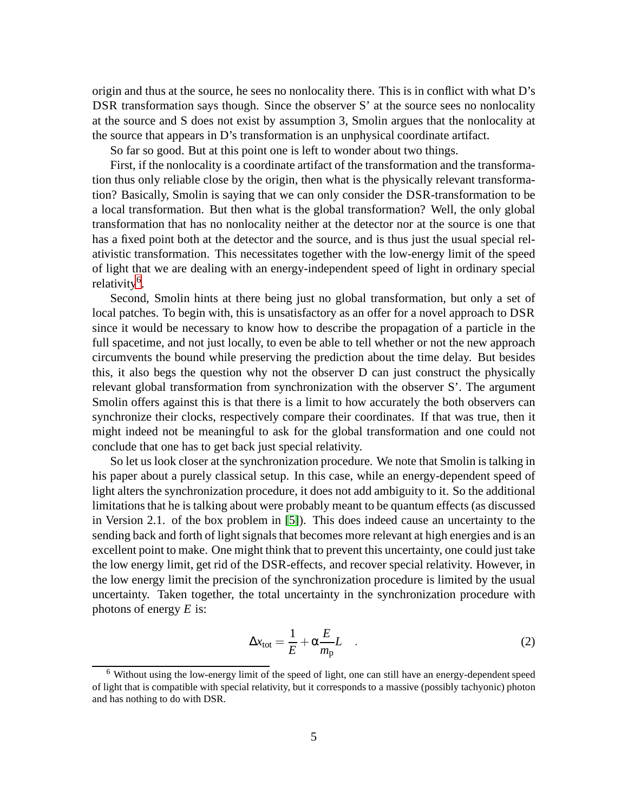origin and thus at the source, he sees no nonlocality there. This is in conflict with what D's DSR transformation says though. Since the observer S' at the source sees no nonlocality at the source and S does not exist by assumption 3, Smolin argues that the nonlocality at the source that appears in D's transformation is an unphysical coordinate artifact.

So far so good. But at this point one is left to wonder about two things.

First, if the nonlocality is a coordinate artifact of the transformation and the transformation thus only reliable close by the origin, then what is the physically relevant transformation? Basically, Smolin is saying that we can only consider the DSR-transformation to be a local transformation. But then what is the global transformation? Well, the only global transformation that has no nonlocality neither at the detector nor at the source is one that has a fixed point both at the detector and the source, and is thus just the usual special relativistic transformation. This necessitates together with the low-energy limit of the speed of light that we are dealing with an energy-independent speed of light in ordinary special relativity<sup>[6](#page-4-0)</sup>.

Second, Smolin hints at there being just no global transformation, but only a set of local patches. To begin with, this is unsatisfactory as an offer for a novel approach to DSR since it would be necessary to know how to describe the propagation of a particle in the full spacetime, and not just locally, to even be able to tell whether or not the new approach circumvents the bound while preserving the prediction about the time delay. But besides this, it also begs the question why not the observer D can just construct the physically relevant global transformation from synchronization with the observer S'. The argument Smolin offers against this is that there is a limit to how accurately the both observers can synchronize their clocks, respectively compare their coordinates. If that was true, then it might indeed not be meaningful to ask for the global transformation and one could not conclude that one has to get back just special relativity.

So let us look closer at the synchronization procedure. We note that Smolin is talking in his paper about a purely classical setup. In this case, while an energy-dependent speed of light alters the synchronization procedure, it does not add ambiguity to it. So the additional limitations that he is talking about were probably meant to be quantum effects (as discussed in Version 2.1. of the box problem in [\[5\]](#page-8-2)). This does indeed cause an uncertainty to the sending back and forth of light signals that becomes more relevant at high energies and is an excellent point to make. One might think that to prevent this uncertainty, one could just take the low energy limit, get rid of the DSR-effects, and recover special relativity. However, in the low energy limit the precision of the synchronization procedure is limited by the usual uncertainty. Taken together, the total uncertainty in the synchronization procedure with photons of energy *E* is:

$$
\Delta x_{\text{tot}} = \frac{1}{E} + \alpha \frac{E}{m_{\text{p}}} L \quad . \tag{2}
$$

<span id="page-4-0"></span><sup>6</sup> Without using the low-energy limit of the speed of light, one can still have an energy-dependent speed of light that is compatible with special relativity, but it corresponds to a massive (possibly tachyonic) photon and has nothing to do with DSR.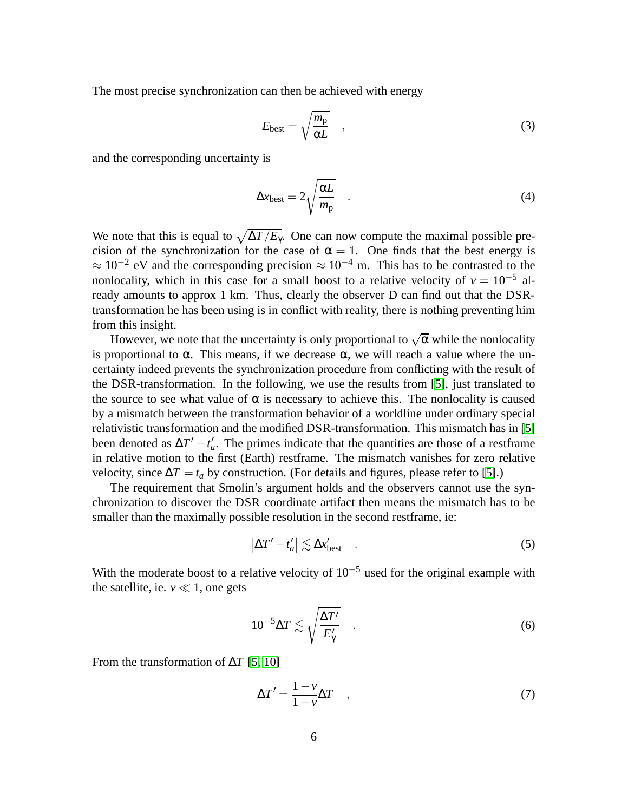The most precise synchronization can then be achieved with energy

$$
E_{\text{best}} = \sqrt{\frac{m_{\text{p}}}{\alpha L}} \quad , \tag{3}
$$

and the corresponding uncertainty is

$$
\Delta x_{\text{best}} = 2\sqrt{\frac{\alpha L}{m_{\text{p}}}} \quad . \tag{4}
$$

We note that this is equal to  $\sqrt{\Delta T/E_{\gamma}}$ . One can now compute the maximal possible precision of the synchronization for the case of  $\alpha = 1$ . One finds that the best energy is  $\approx 10^{-2}$  eV and the corresponding precision  $\approx 10^{-4}$  m. This has to be contrasted to the nonlocality, which in this case for a small boost to a relative velocity of  $v = 10^{-5}$  already amounts to approx 1 km. Thus, clearly the observer D can find out that the DSRtransformation he has been using is in conflict with reality, there is nothing preventing him from this insight.

However, we note that the uncertainty is only proportional to  $\sqrt{\alpha}$  while the nonlocality is proportional to α. This means, if we decrease  $\alpha$ , we will reach a value where the uncertainty indeed prevents the synchronization procedure from conflicting with the result of the DSR-transformation. In the following, we use the results from [\[5\]](#page-8-2), just translated to the source to see what value of  $\alpha$  is necessary to achieve this. The nonlocality is caused by a mismatch between the transformation behavior of a worldline under ordinary special relativistic transformation and the modified DSR-transformation. This mismatch has in [\[5\]](#page-8-2) been denoted as  $\Delta T' - t'_a$ . The primes indicate that the quantities are those of a restframe in relative motion to the first (Earth) restframe. The mismatch vanishes for zero relative velocity, since  $\Delta T = t_a$  by construction. (For details and figures, please refer to [\[5\]](#page-8-2).)

The requirement that Smolin's argument holds and the observers cannot use the synchronization to discover the DSR coordinate artifact then means the mismatch has to be smaller than the maximally possible resolution in the second restframe, ie:

$$
\left|\Delta T'-t'_{a}\right|\lesssim \Delta x'_{\text{best}}\quad .\tag{5}
$$

With the moderate boost to a relative velocity of  $10^{-5}$  used for the original example with the satellite, ie.  $v \ll 1$ , one gets

<span id="page-5-0"></span>
$$
10^{-5} \Delta T \lesssim \sqrt{\frac{\Delta T'}{E'_\gamma}} \quad . \tag{6}
$$

From the transformation of ∆*T* [\[5,](#page-8-2) [10\]](#page-8-7)

$$
\Delta T' = \frac{1 - \nu}{1 + \nu} \Delta T \quad , \tag{7}
$$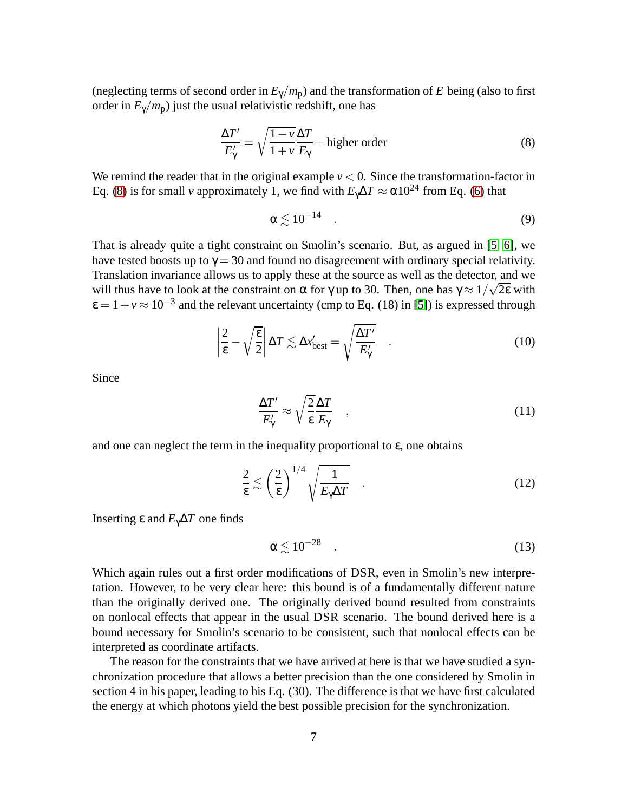(neglecting terms of second order in  $E_{\gamma}/m_{\rm p}$ ) and the transformation of *E* being (also to first order in  $E_{\gamma}/m_{\rm p}$ ) just the usual relativistic redshift, one has

<span id="page-6-0"></span>
$$
\frac{\Delta T'}{E'_{\gamma}} = \sqrt{\frac{1 - v}{1 + v} \frac{\Delta T}{E_{\gamma}}} + \text{higher order}
$$
\n(8)

We remind the reader that in the original example  $v < 0$ . Since the transformation-factor in Eq. [\(8\)](#page-6-0) is for small *v* approximately 1, we find with  $E_\gamma \Delta T \approx \alpha 10^{24}$  from Eq. [\(6\)](#page-5-0) that

$$
\alpha \lesssim 10^{-14} \quad . \tag{9}
$$

That is already quite a tight constraint on Smolin's scenario. But, as argued in [\[5,](#page-8-2) [6\]](#page-8-3), we have tested boosts up to  $\gamma = 30$  and found no disagreement with ordinary special relativity. Translation invariance allows us to apply these at the source as well as the detector, and we will thus have to look at the constraint on  $\alpha$  for  $\gamma$  up to 30. Then, one has  $\gamma \approx 1/\sqrt{2\epsilon}$  with  $\varepsilon = 1 + v \approx 10^{-3}$  and the relevant uncertainty (cmp to Eq. (18) in [\[5\]](#page-8-2)) is expressed through

$$
\left|\frac{2}{\varepsilon} - \sqrt{\frac{\varepsilon}{2}}\right| \Delta T \lesssim \Delta x'_{\text{best}} = \sqrt{\frac{\Delta T'}{E'_\gamma}} \quad . \tag{10}
$$

Since

$$
\frac{\Delta T'}{E'_{\gamma}} \approx \sqrt{\frac{2}{\epsilon}} \frac{\Delta T}{E_{\gamma}} \quad , \tag{11}
$$

and one can neglect the term in the inequality proportional to  $\varepsilon$ , one obtains

$$
\frac{2}{\epsilon} \lesssim \left(\frac{2}{\epsilon}\right)^{1/4} \sqrt{\frac{1}{E_{\gamma}\Delta T}} \quad . \tag{12}
$$

Inserting  $ε$  and  $E_γ\Delta T$  one finds

$$
\alpha \lesssim 10^{-28} \quad . \tag{13}
$$

Which again rules out a first order modifications of DSR, even in Smolin's new interpretation. However, to be very clear here: this bound is of a fundamentally different nature than the originally derived one. The originally derived bound resulted from constraints on nonlocal effects that appear in the usual DSR scenario. The bound derived here is a bound necessary for Smolin's scenario to be consistent, such that nonlocal effects can be interpreted as coordinate artifacts.

The reason for the constraints that we have arrived at here is that we have studied a synchronization procedure that allows a better precision than the one considered by Smolin in section 4 in his paper, leading to his Eq. (30). The difference is that we have first calculated the energy at which photons yield the best possible precision for the synchronization.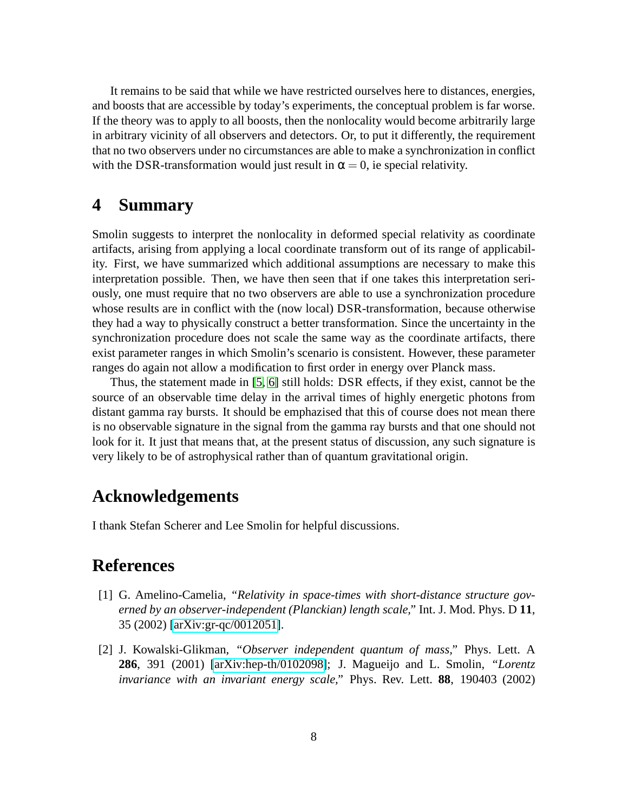It remains to be said that while we have restricted ourselves here to distances, energies, and boosts that are accessible by today's experiments, the conceptual problem is far worse. If the theory was to apply to all boosts, then the nonlocality would become arbitrarily large in arbitrary vicinity of all observers and detectors. Or, to put it differently, the requirement that no two observers under no circumstances are able to make a synchronization in conflict with the DSR-transformation would just result in  $\alpha = 0$ , ie special relativity.

## **4 Summary**

Smolin suggests to interpret the nonlocality in deformed special relativity as coordinate artifacts, arising from applying a local coordinate transform out of its range of applicability. First, we have summarized which additional assumptions are necessary to make this interpretation possible. Then, we have then seen that if one takes this interpretation seriously, one must require that no two observers are able to use a synchronization procedure whose results are in conflict with the (now local) DSR-transformation, because otherwise they had a way to physically construct a better transformation. Since the uncertainty in the synchronization procedure does not scale the same way as the coordinate artifacts, there exist parameter ranges in which Smolin's scenario is consistent. However, these parameter ranges do again not allow a modification to first order in energy over Planck mass.

Thus, the statement made in [\[5,](#page-8-2) [6\]](#page-8-3) still holds: DSR effects, if they exist, cannot be the source of an observable time delay in the arrival times of highly energetic photons from distant gamma ray bursts. It should be emphazised that this of course does not mean there is no observable signature in the signal from the gamma ray bursts and that one should not look for it. It just that means that, at the present status of discussion, any such signature is very likely to be of astrophysical rather than of quantum gravitational origin.

### **Acknowledgements**

I thank Stefan Scherer and Lee Smolin for helpful discussions.

## <span id="page-7-0"></span>**References**

- [1] G. Amelino-Camelia, *"Relativity in space-times with short-distance structure governed by an observer-independent (Planckian) length scale,"* Int. J. Mod. Phys. D **11**, 35 (2002) [\[arXiv:gr-qc/0012051\]](http://arxiv.org/abs/gr-qc/0012051).
- <span id="page-7-1"></span>[2] J. Kowalski-Glikman, *"Observer independent quantum of mass,"* Phys. Lett. A **286**, 391 (2001) [\[arXiv:hep-th/0102098\]](http://arxiv.org/abs/hep-th/0102098); J. Magueijo and L. Smolin, *"Lorentz invariance with an invariant energy scale,"* Phys. Rev. Lett. **88**, 190403 (2002)